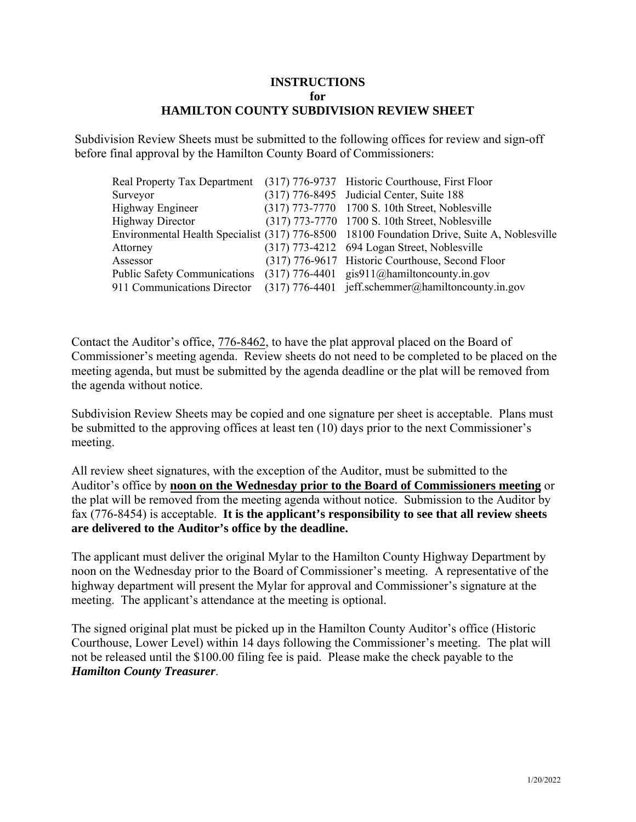## **INSTRUCTIONS for HAMILTON COUNTY SUBDIVISION REVIEW SHEET**

Subdivision Review Sheets must be submitted to the following offices for review and sign-off before final approval by the Hamilton County Board of Commissioners:

|                                                                          | Real Property Tax Department (317) 776-9737 Historic Courthouse, First Floor                |
|--------------------------------------------------------------------------|---------------------------------------------------------------------------------------------|
| Surveyor                                                                 | (317) 776-8495 Judicial Center, Suite 188                                                   |
| Highway Engineer                                                         | (317) 773-7770 1700 S. 10th Street, Noblesville                                             |
| <b>Highway Director</b>                                                  | (317) 773-7770 1700 S. 10th Street, Noblesville                                             |
|                                                                          | Environmental Health Specialist (317) 776-8500 18100 Foundation Drive, Suite A, Noblesville |
| Attorney                                                                 | (317) 773-4212 694 Logan Street, Noblesville                                                |
| Assessor                                                                 | (317) 776-9617 Historic Courthouse, Second Floor                                            |
| Public Safety Communications (317) 776-4401 gis911@hamiltoncounty.in.gov |                                                                                             |
| 911 Communications Director                                              | $(317)$ 776-4401 jeff.schemmer@hamiltoncounty.in.gov                                        |

Contact the Auditor's office, 776-8462, to have the plat approval placed on the Board of Commissioner's meeting agenda. Review sheets do not need to be completed to be placed on the meeting agenda, but must be submitted by the agenda deadline or the plat will be removed from the agenda without notice.

Subdivision Review Sheets may be copied and one signature per sheet is acceptable. Plans must be submitted to the approving offices at least ten (10) days prior to the next Commissioner's meeting.

All review sheet signatures, with the exception of the Auditor, must be submitted to the Auditor's office by **noon on the Wednesday prior to the Board of Commissioners meeting** or the plat will be removed from the meeting agenda without notice. Submission to the Auditor by fax (776-8454) is acceptable. **It is the applicant's responsibility to see that all review sheets are delivered to the Auditor's office by the deadline.**

The applicant must deliver the original Mylar to the Hamilton County Highway Department by noon on the Wednesday prior to the Board of Commissioner's meeting. A representative of the highway department will present the Mylar for approval and Commissioner's signature at the meeting. The applicant's attendance at the meeting is optional.

The signed original plat must be picked up in the Hamilton County Auditor's office (Historic Courthouse, Lower Level) within 14 days following the Commissioner's meeting. The plat will not be released until the \$100.00 filing fee is paid. Please make the check payable to the *Hamilton County Treasurer*.